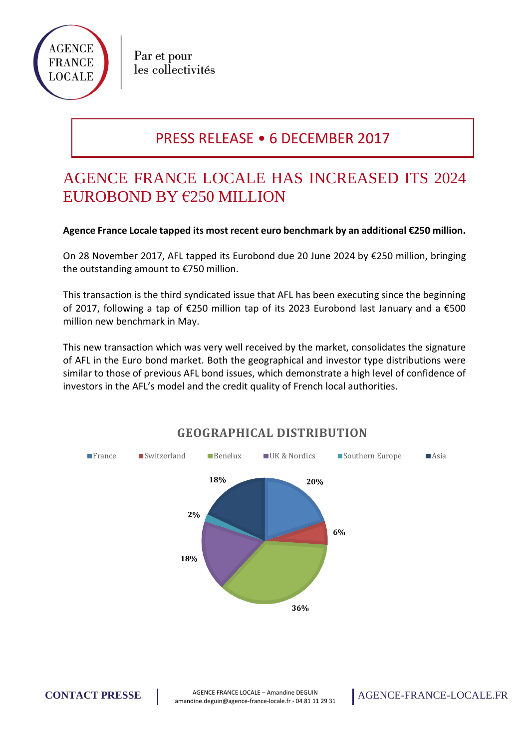

Par et pour les collectivités

## PRESS RELEASE • 6 DECEMBER 2017

# AGENCE FRANCE LOCALE HAS INCREASED ITS 2024 EUROBOND BY €250 MILLION

#### **Agence France Locale tapped its most recent euro benchmark by an additional €250 million.**

On 28 November 2017, AFL tapped its Eurobond due 20 June 2024 by €250 million, bringing the outstanding amount to €750 million.

This transaction is the third syndicated issue that AFL has been executing since the beginning of 2017, following a tap of €250 million tap of its 2023 Eurobond last January and a €500 million new benchmark in May.

This new transaction which was very well received by the market, consolidates the signature of AFL in the Euro bond market. Both the geographical and investor type distributions were similar to those of previous AFL bond issues, which demonstrate a high level of confidence of investors in the AFL's model and the credit quality of French local authorities.



### **GEOGRAPHICAL DISTRIBUTION**

**CONTACT PRESSE** AGENCE FRANCE LOCALE – Amandine DEGUIN amandine.deguin@agence-france-locale.fr - 04 81 11 29 31 AGENCE-FRANCE-LOCALE.FR